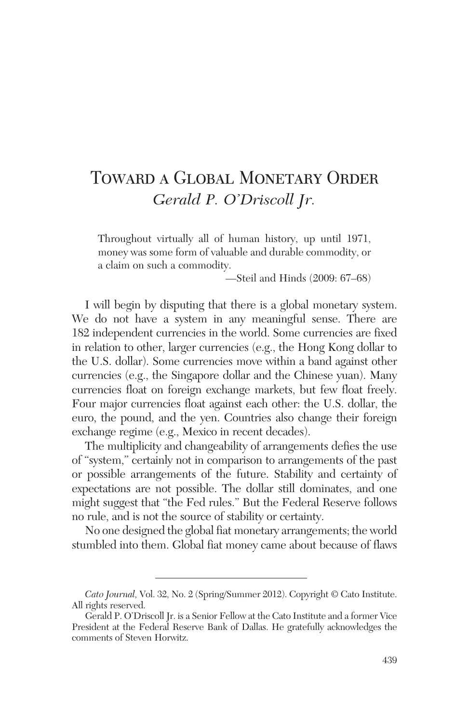# Toward a Global Monetary Order *Gerald P. O'Driscoll Jr.*

Throughout virtually all of human history, up until 1971, money was some form of valuable and durable commodity, or a claim on such a commodity.

—Steil and Hinds (2009: 67–68)

I will begin by disputing that there is a global monetary system. We do not have a system in any meaningful sense. There are 182 independent currencies in the world. Some currencies are fixed in relation to other, larger currencies (e.g., the Hong Kong dollar to the U.S. dollar). Some currencies move within a band against other currencies (e.g., the Singapore dollar and the Chinese yuan). Many currencies float on foreign exchange markets, but few float freely. Four major currencies float against each other: the U.S. dollar, the euro, the pound, and the yen. Countries also change their foreign exchange regime (e.g., Mexico in recent decades).

The multiplicity and changeability of arrangements defies the use of "system," certainly not in comparison to arrangements of the past or possible arrangements of the future. Stability and certainty of expectations are not possible. The dollar still dominates, and one might suggest that "the Fed rules." But the Federal Reserve follows no rule, and is not the source of stability or certainty.

No one designed the global fiat monetary arrangements; the world stumbled into them. Global fiat money came about because of flaws

*Cato Journal,* Vol. 32, No. 2 (Spring/Summer 2012). Copyright © Cato Institute. All rights reserved.

Gerald P. O'Driscoll Jr. is a Senior Fellow at the Cato Institute and a former Vice President at the Federal Reserve Bank of Dallas. He gratefully acknowledges the comments of Steven Horwitz.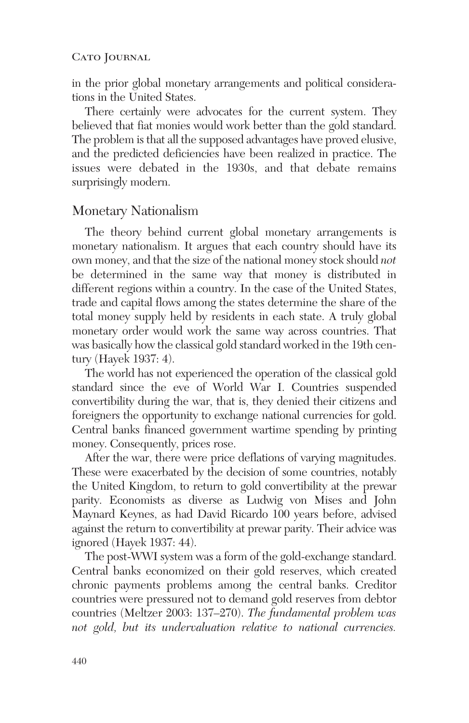in the prior global monetary arrangements and political considerations in the United States.

There certainly were advocates for the current system. They believed that fiat monies would work better than the gold standard. The problem is that all the supposed advantages have proved elusive, and the predicted deficiencies have been realized in practice. The issues were debated in the 1930s, and that debate remains surprisingly modern.

## Monetary Nationalism

The theory behind current global monetary arrangements is monetary nationalism. It argues that each country should have its own money, and that the size of the national money stock should *not* be determined in the same way that money is distributed in different regions within a country. In the case of the United States, trade and capital flows among the states determine the share of the total money supply held by residents in each state. A truly global monetary order would work the same way across countries. That was basically how the classical gold standard worked in the 19th century (Hayek 1937: 4).

The world has not experienced the operation of the classical gold standard since the eve of World War I. Countries suspended convertibility during the war, that is, they denied their citizens and foreigners the opportunity to exchange national currencies for gold. Central banks financed government wartime spending by printing money. Consequently, prices rose.

After the war, there were price deflations of varying magnitudes. These were exacerbated by the decision of some countries, notably the United Kingdom, to return to gold convertibility at the prewar parity. Economists as diverse as Ludwig von Mises and John Maynard Keynes, as had David Ricardo 100 years before, advised against the return to convertibility at prewar parity. Their advice was ignored (Hayek 1937: 44).

The post-WWI system was a form of the gold-exchange standard. Central banks economized on their gold reserves, which created chronic payments problems among the central banks. Creditor countries were pressured not to demand gold reserves from debtor countries (Meltzer 2003: 137–270). *The fundamental problem was not gold, but its undervaluation relative to national currencies.*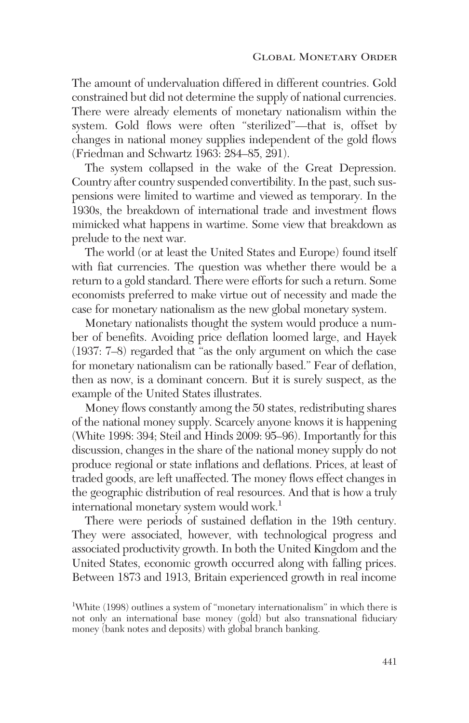The amount of undervaluation differed in different countries. Gold constrained but did not determine the supply of national currencies. There were already elements of monetary nationalism within the system. Gold flows were often "sterilized"—that is, offset by changes in national money supplies independent of the gold flows (Friedman and Schwartz 1963: 284–85, 291).

The system collapsed in the wake of the Great Depression. Country after country suspended convertibility. In the past, such suspensions were limited to wartime and viewed as temporary. In the 1930s, the breakdown of international trade and investment flows mimicked what happens in wartime. Some view that breakdown as prelude to the next war.

The world (or at least the United States and Europe) found itself with fiat currencies. The question was whether there would be a return to a gold standard. There were efforts for such a return. Some economists preferred to make virtue out of necessity and made the case for monetary nationalism as the new global monetary system.

Monetary nationalists thought the system would produce a number of benefits. Avoiding price deflation loomed large, and Hayek (1937: 7–8) regarded that "as the only argument on which the case for monetary nationalism can be rationally based." Fear of deflation, then as now, is a dominant concern. But it is surely suspect, as the example of the United States illustrates.

Money flows constantly among the 50 states, redistributing shares of the national money supply. Scarcely anyone knows it is happening (White 1998: 394; Steil and Hinds 2009: 95–96). Importantly for this discussion, changes in the share of the national money supply do not produce regional or state inflations and deflations. Prices, at least of traded goods, are left unaffected. The money flows effect changes in the geographic distribution of real resources. And that is how a truly international monetary system would work.<sup>1</sup>

There were periods of sustained deflation in the 19th century. They were associated, however, with technological progress and associated productivity growth. In both the United Kingdom and the United States, economic growth occurred along with falling prices. Between 1873 and 1913, Britain experienced growth in real income

<sup>&</sup>lt;sup>1</sup>White (1998) outlines a system of "monetary internationalism" in which there is not only an international base money (gold) but also transnational fiduciary money (bank notes and deposits) with global branch banking.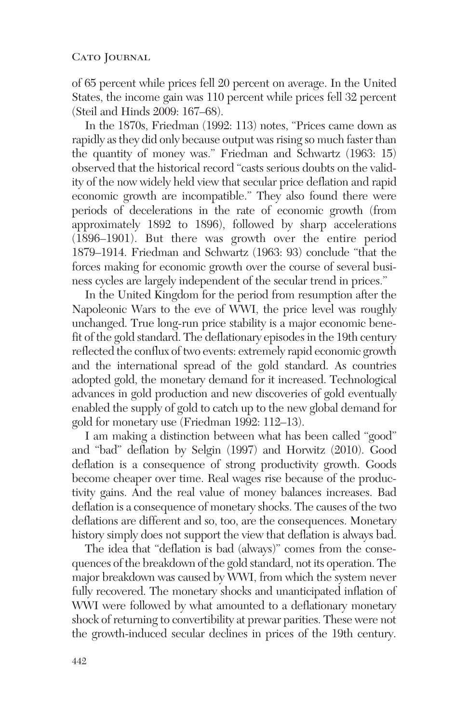of 65 percent while prices fell 20 percent on average. In the United States, the income gain was 110 percent while prices fell 32 percent (Steil and Hinds 2009: 167–68).

In the 1870s, Friedman (1992: 113) notes, "Prices came down as rapidly as they did only because output was rising so much faster than the quantity of money was." Friedman and Schwartz (1963: 15) observed that the historical record "casts serious doubts on the validity of the now widely held view that secular price deflation and rapid economic growth are incompatible." They also found there were periods of decelerations in the rate of economic growth (from approximately 1892 to 1896), followed by sharp accelerations (1896–1901). But there was growth over the entire period 1879–1914. Friedman and Schwartz (1963: 93) conclude "that the forces making for economic growth over the course of several business cycles are largely independent of the secular trend in prices."

In the United Kingdom for the period from resumption after the Napoleonic Wars to the eve of WWI, the price level was roughly unchanged. True long-run price stability is a major economic benefit of the gold standard. The deflationary episodes in the 19th century reflected the conflux of two events: extremely rapid economic growth and the international spread of the gold standard. As countries adopted gold, the monetary demand for it increased. Technological advances in gold production and new discoveries of gold eventually enabled the supply of gold to catch up to the new global demand for gold for monetary use (Friedman 1992: 112–13).

I am making a distinction between what has been called "good" and "bad" deflation by Selgin (1997) and Horwitz (2010). Good deflation is a consequence of strong productivity growth. Goods become cheaper over time. Real wages rise because of the productivity gains. And the real value of money balances increases. Bad deflation is a consequence of monetary shocks. The causes of the two deflations are different and so, too, are the consequences. Monetary history simply does not support the view that deflation is always bad.

The idea that "deflation is bad (always)" comes from the consequences of the breakdown of the gold standard, not its operation. The major breakdown was caused by WWI, from which the system never fully recovered. The monetary shocks and unanticipated inflation of WWI were followed by what amounted to a deflationary monetary shock of returning to convertibility at prewar parities. These were not the growth-induced secular declines in prices of the 19th century.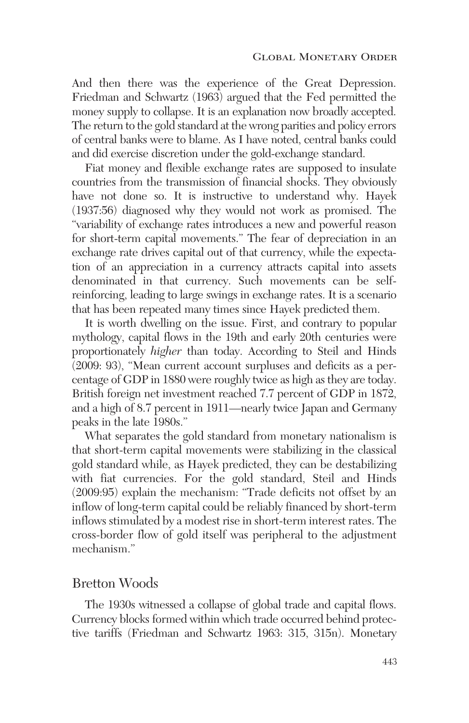And then there was the experience of the Great Depression. Friedman and Schwartz (1963) argued that the Fed permitted the money supply to collapse. It is an explanation now broadly accepted. The return to the gold standard at the wrong parities and policy errors of central banks were to blame. As I have noted, central banks could and did exercise discretion under the gold-exchange standard.

Fiat money and flexible exchange rates are supposed to insulate countries from the transmission of financial shocks. They obviously have not done so. It is instructive to understand why. Hayek (1937:56) diagnosed why they would not work as promised. The "variability of exchange rates introduces a new and powerful reason for short-term capital movements." The fear of depreciation in an exchange rate drives capital out of that currency, while the expectation of an appreciation in a currency attracts capital into assets denominated in that currency. Such movements can be self reinforcing, leading to large swings in exchange rates. It is a scenario that has been repeated many times since Hayek predicted them.

It is worth dwelling on the issue. First, and contrary to popular mythology, capital flows in the 19th and early 20th centuries were proportionately *higher* than today. According to Steil and Hinds (2009: 93), "Mean current account surpluses and deficits as a percentage of GDP in 1880 were roughly twice as high as they are today. British foreign net investment reached 7.7 percent of GDP in 1872, and a high of 8.7 percent in 1911—nearly twice Japan and Germany peaks in the late 1980s."

What separates the gold standard from monetary nationalism is that short-term capital movements were stabilizing in the classical gold standard while, as Hayek predicted, they can be destabilizing with fiat currencies. For the gold standard, Steil and Hinds (2009:95) explain the mechanism: "Trade deficits not offset by an inflow of long-term capital could be reliably financed by short-term inflows stimulated by a modest rise in short-term interest rates. The cross-border flow of gold itself was peripheral to the adjustment mechanism."

## Bretton Woods

The 1930s witnessed a collapse of global trade and capital flows. Currency blocks formed within which trade occurred behind protective tariffs (Friedman and Schwartz 1963: 315, 315n). Monetary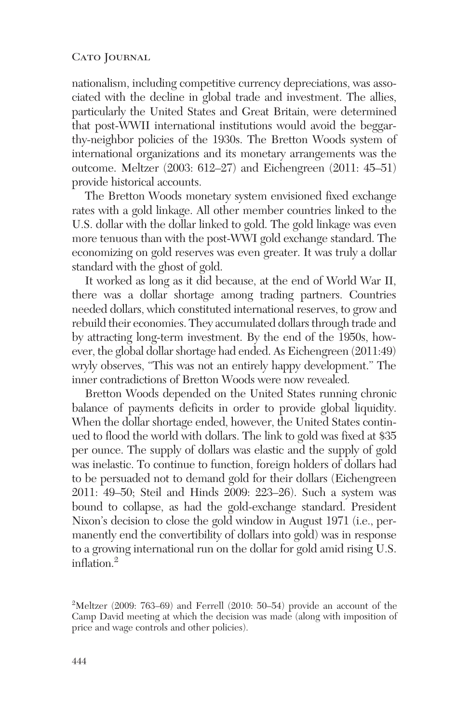nationalism, including competitive currency depreciations, was associated with the decline in global trade and investment. The allies, particularly the United States and Great Britain, were determined that post-WWII international institutions would avoid the beggarthy-neighbor policies of the 1930s. The Bretton Woods system of international organizations and its monetary arrangements was the outcome. Meltzer (2003: 612–27) and Eichengreen (2011: 45–51) provide historical accounts.

The Bretton Woods monetary system envisioned fixed exchange rates with a gold linkage. All other member countries linked to the U.S. dollar with the dollar linked to gold. The gold linkage was even more tenuous than with the post-WWI gold exchange standard. The economizing on gold reserves was even greater. It was truly a dollar standard with the ghost of gold.

It worked as long as it did because, at the end of World War II, there was a dollar shortage among trading partners. Countries needed dollars, which constituted international reserves, to grow and rebuild their economies. They accumulated dollars through trade and by attracting long-term investment. By the end of the 1950s, however, the global dollar shortage had ended. As Eichengreen (2011:49) wryly observes, "This was not an entirely happy development." The inner contradictions of Bretton Woods were now revealed.

Bretton Woods depended on the United States running chronic balance of payments deficits in order to provide global liquidity. When the dollar shortage ended, however, the United States continued to flood the world with dollars. The link to gold was fixed at \$35 per ounce. The supply of dollars was elastic and the supply of gold was inelastic. To continue to function, foreign holders of dollars had to be persuaded not to demand gold for their dollars (Eichengreen 2011: 49–50; Steil and Hinds 2009: 223–26). Such a system was bound to collapse, as had the gold-exchange standard. President Nixon's decision to close the gold window in August 1971 (i.e., permanently end the convertibility of dollars into gold) was in response to a growing international run on the dollar for gold amid rising U.S. inflation $^2$ 

 $2^2$ Meltzer (2009: 763–69) and Ferrell (2010: 50–54) provide an account of the Camp David meeting at which the decision was made (along with imposition of price and wage controls and other policies).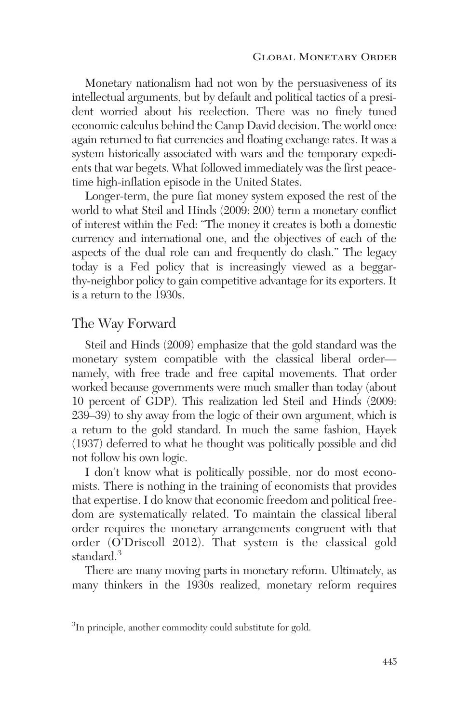Monetary nationalism had not won by the persuasiveness of its intellectual arguments, but by default and political tactics of a president worried about his reelection. There was no finely tuned economic calculus behind the Camp David decision. The world once again returned to fiat currencies and floating exchange rates. It was a system historically associated with wars and the temporary expedients that war begets. What followed immediately was the first peacetime high-inflation episode in the United States.

Longer-term, the pure fiat money system exposed the rest of the world to what Steil and Hinds (2009: 200) term a monetary conflict of interest within the Fed: "The money it creates is both a domestic currency and international one, and the objectives of each of the aspects of the dual role can and frequently do clash." The legacy today is a Fed policy that is increasingly viewed as a beggarthy-neighbor policy to gain competitive advantage for its exporters. It is a return to the 1930s.

# The Way Forward

Steil and Hinds (2009) emphasize that the gold standard was the monetary system compatible with the classical liberal order namely, with free trade and free capital movements. That order worked because governments were much smaller than today (about 10 percent of GDP). This realization led Steil and Hinds (2009: 239–39) to shy away from the logic of their own argument, which is a return to the gold standard. In much the same fashion, Hayek (1937) deferred to what he thought was politically possible and did not follow his own logic.

I don't know what is politically possible, nor do most economists. There is nothing in the training of economists that provides that expertise. I do know that economic freedom and political freedom are systematically related. To maintain the classical liberal order requires the monetary arrangements congruent with that order (O'Driscoll 2012). That system is the classical gold standard.<sup>3</sup>

There are many moving parts in monetary reform. Ultimately, as many thinkers in the 1930s realized, monetary reform requires

<sup>&</sup>lt;sup>3</sup>In principle, another commodity could substitute for gold.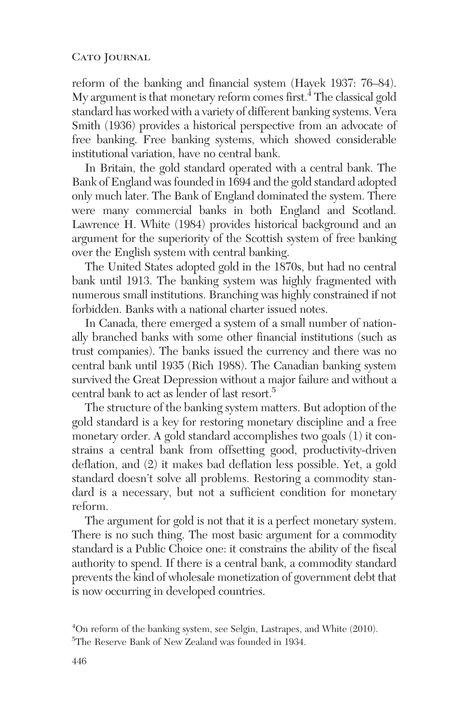reform of the banking and financial system (Hayek 1937: 76–84). My argument is that monetary reform comes first.<sup>4</sup> The classical gold standard has worked with a variety of different banking systems. Vera Smith (1936) provides a historical perspective from an advocate of free banking. Free banking systems, which showed considerable institutional variation, have no central bank.

In Britain, the gold standard operated with a central bank. The Bank of England was founded in 1694 and the gold standard adopted only much later. The Bank of England dominated the system. There were many commercial banks in both England and Scotland. Lawrence H. White (1984) provides historical background and an argument for the superiority of the Scottish system of free banking over the English system with central banking.

The United States adopted gold in the 1870s, but had no central bank until 1913. The banking system was highly fragmented with numerous small institutions. Branching was highly constrained if not forbidden. Banks with a national charter issued notes.

In Canada, there emerged a system of a small number of nationally branched banks with some other financial institutions (such as trust companies). The banks issued the currency and there was no central bank until 1935 (Rich 1988). The Canadian banking system survived the Great Depression without a major failure and without a central bank to act as lender of last resort.<sup>5</sup>

The structure of the banking system matters. But adoption of the gold standard is a key for restoring monetary discipline and a free monetary order. A gold standard accomplishes two goals (1) it constrains a central bank from offsetting good, productivity-driven deflation, and (2) it makes bad deflation less possible. Yet, a gold standard doesn't solve all problems. Restoring a commodity standard is a necessary, but not a sufficient condition for monetary reform.

The argument for gold is not that it is a perfect monetary system. There is no such thing. The most basic argument for a commodity standard is a Public Choice one: it constrains the ability of the fiscal authority to spend. If there is a central bank, a commodity standard prevents the kind of wholesale monetization of government debt that is now occurring in developed countries.

<sup>4</sup> On reform of the banking system, see Selgin, Lastrapes, and White (2010). 5 The Reserve Bank of New Zealand was founded in 1934.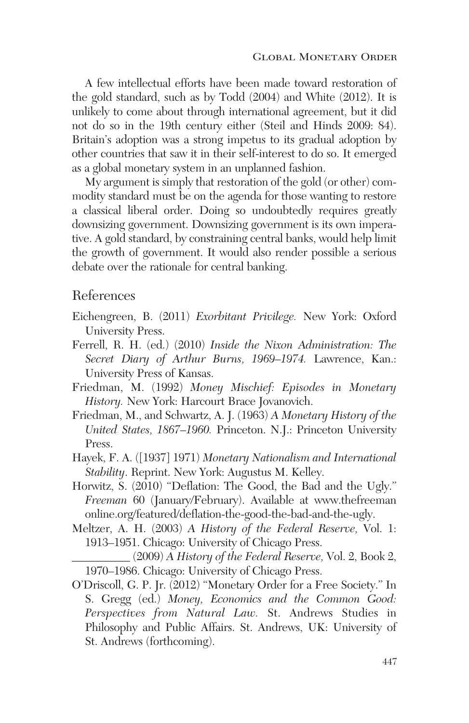A few intellectual efforts have been made toward restoration of the gold standard, such as by Todd (2004) and White (2012). It is unlikely to come about through international agreement, but it did not do so in the 19th century either (Steil and Hinds 2009: 84). Britain's adoption was a strong impetus to its gradual adoption by other countries that saw it in their self-interest to do so. It emerged as a global monetary system in an unplanned fashion.

My argument is simply that restoration of the gold (or other) commodity standard must be on the agenda for those wanting to restore a classical liberal order. Doing so undoubtedly requires greatly downsizing government. Downsizing government is its own imperative. A gold standard, by constraining central banks, would help limit the growth of government. It would also render possible a serious debate over the rationale for central banking.

# References

- Eichengreen, B. (2011) *Exorbitant Privilege.* New York: Oxford University Press.
- Ferrell, R. H. (ed.) (2010) *Inside the Nixon Administration: The Secret Diary of Arthur Burns, 1969–1974.* Lawrence, Kan.: University Press of Kansas.
- Friedman, M. (1992) *Money Mischief: Episodes in Monetary History.* New York: Harcourt Brace Jovanovich.
- Friedman, M., and Schwartz, A. J. (1963) *A Monetary History of the United States, 1867–1960.* Princeton. N.J.: Princeton University Press.
- Hayek, F. A. ([1937] 1971) *Monetary Nationalism and International Stability*. Reprint. New York: Augustus M. Kelley.
- Horwitz, S. (2010) "Deflation: The Good, the Bad and the Ugly." *Freeman* 60 (January/February). Available at www.thefreeman online.org/featured/deflation-the-good-the-bad-and-the-ugly.
- Meltzer, A. H. (2003) *A History of the Federal Reserve,* Vol. 1: 1913–1951. Chicago: University of Chicago Press.

\_\_\_\_\_\_\_\_\_\_ (2009) *A History of the Federal Reserve,* Vol. 2, Book 2, 1970–1986. Chicago: University of Chicago Press.

O'Driscoll, G. P. Jr. (2012) "Monetary Order for a Free Society." In S. Gregg (ed.) *Money, Economics and the Common Good: Perspectives from Natural Law.* St. Andrews Studies in Philosophy and Public Affairs. St. Andrews, UK: University of St. Andrews (forthcoming).